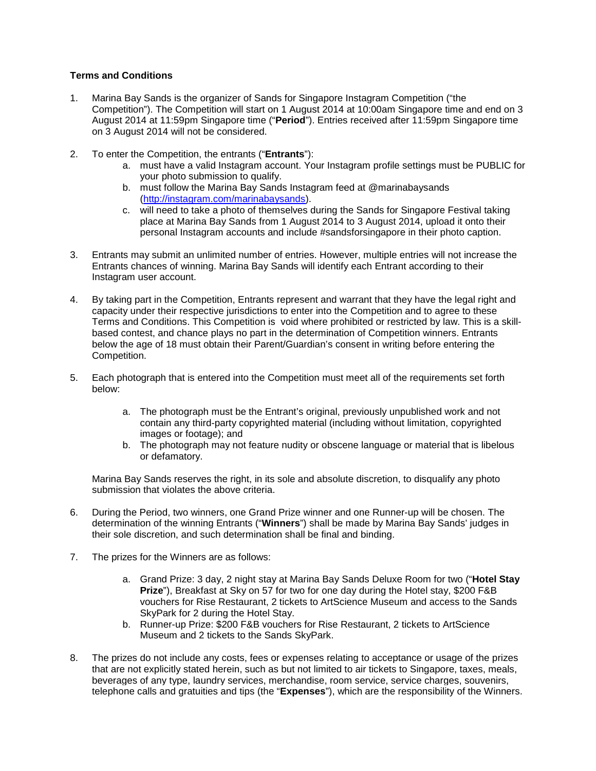## **Terms and Conditions**

- 1. Marina Bay Sands is the organizer of Sands for Singapore Instagram Competition ("the Competition"). The Competition will start on 1 August 2014 at 10:00am Singapore time and end on 3 August 2014 at 11:59pm Singapore time ("**Period**"). Entries received after 11:59pm Singapore time on 3 August 2014 will not be considered.
- 2. To enter the Competition, the entrants ("**Entrants**"):
	- a. must have a valid Instagram account. Your Instagram profile settings must be PUBLIC for your photo submission to qualify.
	- b. must follow the Marina Bay Sands Instagram feed at @marinabaysands [\(http://instagram.com/marinabaysands\)](http://instagram.com/marinabaysands).
	- c. will need to take a photo of themselves during the Sands for Singapore Festival taking place at Marina Bay Sands from 1 August 2014 to 3 August 2014, upload it onto their personal Instagram accounts and include #sandsforsingapore in their photo caption.
- 3. Entrants may submit an unlimited number of entries. However, multiple entries will not increase the Entrants chances of winning. Marina Bay Sands will identify each Entrant according to their Instagram user account.
- 4. By taking part in the Competition, Entrants represent and warrant that they have the legal right and capacity under their respective jurisdictions to enter into the Competition and to agree to these Terms and Conditions. This Competition is void where prohibited or restricted by law. This is a skillbased contest, and chance plays no part in the determination of Competition winners. Entrants below the age of 18 must obtain their Parent/Guardian's consent in writing before entering the Competition.
- 5. Each photograph that is entered into the Competition must meet all of the requirements set forth below:
	- a. The photograph must be the Entrant's original, previously unpublished work and not contain any third-party copyrighted material (including without limitation, copyrighted images or footage); and
	- b. The photograph may not feature nudity or obscene language or material that is libelous or defamatory.

Marina Bay Sands reserves the right, in its sole and absolute discretion, to disqualify any photo submission that violates the above criteria.

- 6. During the Period, two winners, one Grand Prize winner and one Runner-up will be chosen. The determination of the winning Entrants ("**Winners**") shall be made by Marina Bay Sands' judges in their sole discretion, and such determination shall be final and binding.
- 7. The prizes for the Winners are as follows:
	- a. Grand Prize: 3 day, 2 night stay at Marina Bay Sands Deluxe Room for two ("**Hotel Stay Prize**"), Breakfast at Sky on 57 for two for one day during the Hotel stay, \$200 F&B vouchers for Rise Restaurant, 2 tickets to ArtScience Museum and access to the Sands SkyPark for 2 during the Hotel Stay.
	- b. Runner-up Prize: \$200 F&B vouchers for Rise Restaurant, 2 tickets to ArtScience Museum and 2 tickets to the Sands SkyPark.
- 8. The prizes do not include any costs, fees or expenses relating to acceptance or usage of the prizes that are not explicitly stated herein, such as but not limited to air tickets to Singapore, taxes, meals, beverages of any type, laundry services, merchandise, room service, service charges, souvenirs, telephone calls and gratuities and tips (the "**Expenses**"), which are the responsibility of the Winners.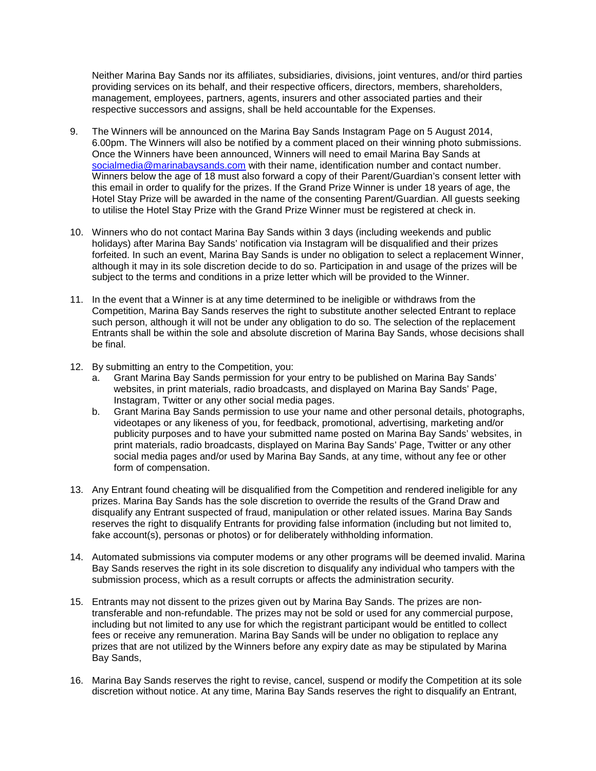Neither Marina Bay Sands nor its affiliates, subsidiaries, divisions, joint ventures, and/or third parties providing services on its behalf, and their respective officers, directors, members, shareholders, management, employees, partners, agents, insurers and other associated parties and their respective successors and assigns, shall be held accountable for the Expenses.

- 9. The Winners will be announced on the Marina Bay Sands Instagram Page on 5 August 2014, 6.00pm. The Winners will also be notified by a comment placed on their winning photo submissions. Once the Winners have been announced, Winners will need to email Marina Bay Sands at [socialmedia@marinabaysands.com](mailto:socialmedia@marinabaysands.com) with their name, identification number and contact number. Winners below the age of 18 must also forward a copy of their Parent/Guardian's consent letter with this email in order to qualify for the prizes. If the Grand Prize Winner is under 18 years of age, the Hotel Stay Prize will be awarded in the name of the consenting Parent/Guardian. All guests seeking to utilise the Hotel Stay Prize with the Grand Prize Winner must be registered at check in.
- 10. Winners who do not contact Marina Bay Sands within 3 days (including weekends and public holidays) after Marina Bay Sands' notification via Instagram will be disqualified and their prizes forfeited. In such an event, Marina Bay Sands is under no obligation to select a replacement Winner, although it may in its sole discretion decide to do so. Participation in and usage of the prizes will be subject to the terms and conditions in a prize letter which will be provided to the Winner.
- 11. In the event that a Winner is at any time determined to be ineligible or withdraws from the Competition, Marina Bay Sands reserves the right to substitute another selected Entrant to replace such person, although it will not be under any obligation to do so. The selection of the replacement Entrants shall be within the sole and absolute discretion of Marina Bay Sands, whose decisions shall be final.
- 12. By submitting an entry to the Competition, you:
	- a. Grant Marina Bay Sands permission for your entry to be published on Marina Bay Sands' websites, in print materials, radio broadcasts, and displayed on Marina Bay Sands' Page, Instagram, Twitter or any other social media pages.
	- b. Grant Marina Bay Sands permission to use your name and other personal details, photographs, videotapes or any likeness of you, for feedback, promotional, advertising, marketing and/or publicity purposes and to have your submitted name posted on Marina Bay Sands' websites, in print materials, radio broadcasts, displayed on Marina Bay Sands' Page, Twitter or any other social media pages and/or used by Marina Bay Sands, at any time, without any fee or other form of compensation.
- 13. Any Entrant found cheating will be disqualified from the Competition and rendered ineligible for any prizes. Marina Bay Sands has the sole discretion to override the results of the Grand Draw and disqualify any Entrant suspected of fraud, manipulation or other related issues. Marina Bay Sands reserves the right to disqualify Entrants for providing false information (including but not limited to, fake account(s), personas or photos) or for deliberately withholding information.
- 14. Automated submissions via computer modems or any other programs will be deemed invalid. Marina Bay Sands reserves the right in its sole discretion to disqualify any individual who tampers with the submission process, which as a result corrupts or affects the administration security.
- 15. Entrants may not dissent to the prizes given out by Marina Bay Sands. The prizes are nontransferable and non-refundable. The prizes may not be sold or used for any commercial purpose, including but not limited to any use for which the registrant participant would be entitled to collect fees or receive any remuneration. Marina Bay Sands will be under no obligation to replace any prizes that are not utilized by the Winners before any expiry date as may be stipulated by Marina Bay Sands,
- 16. Marina Bay Sands reserves the right to revise, cancel, suspend or modify the Competition at its sole discretion without notice. At any time, Marina Bay Sands reserves the right to disqualify an Entrant,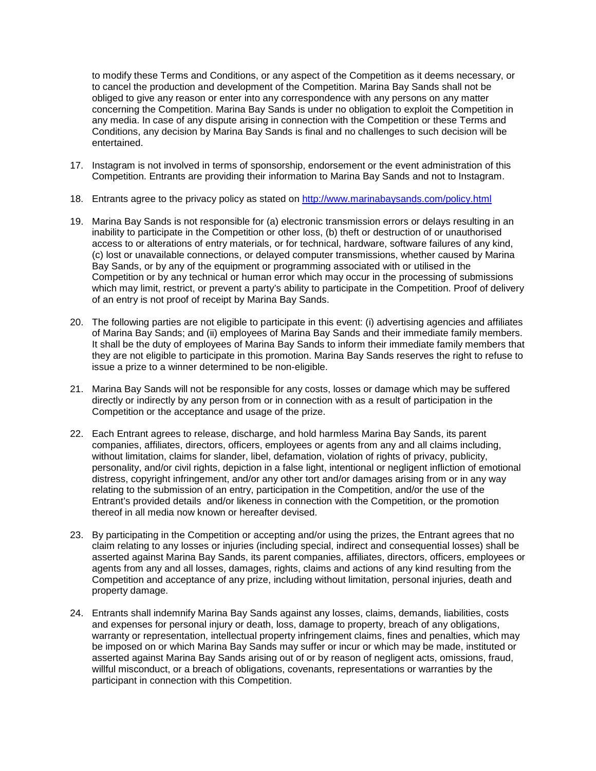to modify these Terms and Conditions, or any aspect of the Competition as it deems necessary, or to cancel the production and development of the Competition. Marina Bay Sands shall not be obliged to give any reason or enter into any correspondence with any persons on any matter concerning the Competition. Marina Bay Sands is under no obligation to exploit the Competition in any media. In case of any dispute arising in connection with the Competition or these Terms and Conditions, any decision by Marina Bay Sands is final and no challenges to such decision will be entertained.

- 17. Instagram is not involved in terms of sponsorship, endorsement or the event administration of this Competition. Entrants are providing their information to Marina Bay Sands and not to Instagram.
- 18. Entrants agree to the privacy policy as stated on<http://www.marinabaysands.com/policy.html>
- 19. Marina Bay Sands is not responsible for (a) electronic transmission errors or delays resulting in an inability to participate in the Competition or other loss, (b) theft or destruction of or unauthorised access to or alterations of entry materials, or for technical, hardware, software failures of any kind, (c) lost or unavailable connections, or delayed computer transmissions, whether caused by Marina Bay Sands, or by any of the equipment or programming associated with or utilised in the Competition or by any technical or human error which may occur in the processing of submissions which may limit, restrict, or prevent a party's ability to participate in the Competition. Proof of delivery of an entry is not proof of receipt by Marina Bay Sands.
- 20. The following parties are not eligible to participate in this event: (i) advertising agencies and affiliates of Marina Bay Sands; and (ii) employees of Marina Bay Sands and their immediate family members. It shall be the duty of employees of Marina Bay Sands to inform their immediate family members that they are not eligible to participate in this promotion. Marina Bay Sands reserves the right to refuse to issue a prize to a winner determined to be non-eligible.
- 21. Marina Bay Sands will not be responsible for any costs, losses or damage which may be suffered directly or indirectly by any person from or in connection with as a result of participation in the Competition or the acceptance and usage of the prize.
- 22. Each Entrant agrees to release, discharge, and hold harmless Marina Bay Sands, its parent companies, affiliates, directors, officers, employees or agents from any and all claims including, without limitation, claims for slander, libel, defamation, violation of rights of privacy, publicity, personality, and/or civil rights, depiction in a false light, intentional or negligent infliction of emotional distress, copyright infringement, and/or any other tort and/or damages arising from or in any way relating to the submission of an entry, participation in the Competition, and/or the use of the Entrant's provided details and/or likeness in connection with the Competition, or the promotion thereof in all media now known or hereafter devised.
- 23. By participating in the Competition or accepting and/or using the prizes, the Entrant agrees that no claim relating to any losses or injuries (including special, indirect and consequential losses) shall be asserted against Marina Bay Sands, its parent companies, affiliates, directors, officers, employees or agents from any and all losses, damages, rights, claims and actions of any kind resulting from the Competition and acceptance of any prize, including without limitation, personal injuries, death and property damage.
- 24. Entrants shall indemnify Marina Bay Sands against any losses, claims, demands, liabilities, costs and expenses for personal injury or death, loss, damage to property, breach of any obligations, warranty or representation, intellectual property infringement claims, fines and penalties, which may be imposed on or which Marina Bay Sands may suffer or incur or which may be made, instituted or asserted against Marina Bay Sands arising out of or by reason of negligent acts, omissions, fraud, willful misconduct, or a breach of obligations, covenants, representations or warranties by the participant in connection with this Competition.